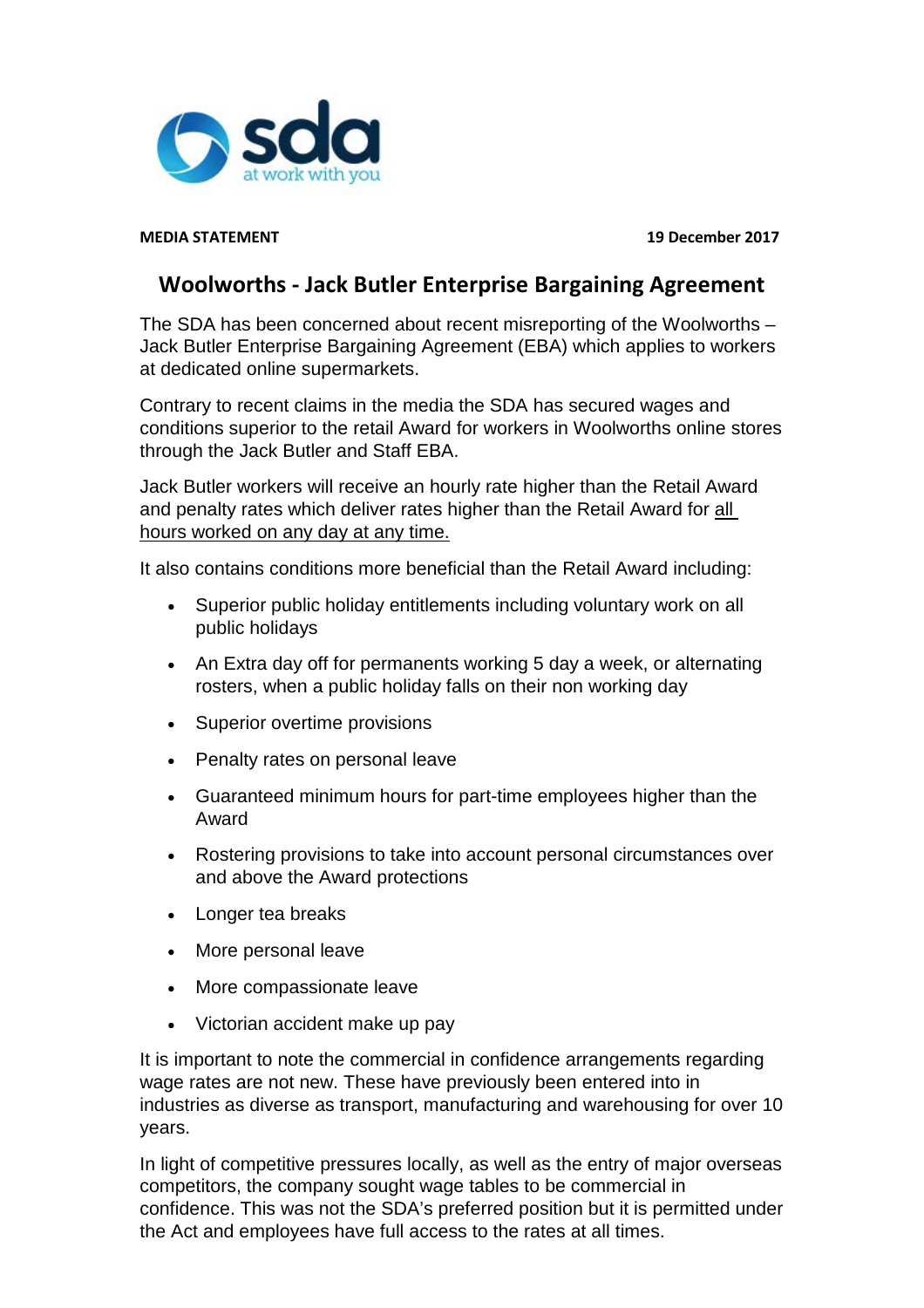

**MEDIA STATEMENT 19 December 2017**

## **Woolworths - Jack Butler Enterprise Bargaining Agreement**

The SDA has been concerned about recent misreporting of the Woolworths – Jack Butler Enterprise Bargaining Agreement (EBA) which applies to workers at dedicated online supermarkets.

Contrary to recent claims in the media the SDA has secured wages and conditions superior to the retail Award for workers in Woolworths online stores through the Jack Butler and Staff EBA.

Jack Butler workers will receive an hourly rate higher than the Retail Award and penalty rates which deliver rates higher than the Retail Award for all hours worked on any day at any time.

It also contains conditions more beneficial than the Retail Award including:

- Superior public holiday entitlements including voluntary work on all public holidays
- An Extra day off for permanents working 5 day a week, or alternating rosters, when a public holiday falls on their non working day
- Superior overtime provisions
- Penalty rates on personal leave
- Guaranteed minimum hours for part-time employees higher than the Award
- Rostering provisions to take into account personal circumstances over and above the Award protections
- Longer tea breaks
- More personal leave
- More compassionate leave
- Victorian accident make up pay

It is important to note the commercial in confidence arrangements regarding wage rates are not new. These have previously been entered into in industries as diverse as transport, manufacturing and warehousing for over 10 years.

In light of competitive pressures locally, as well as the entry of major overseas competitors, the company sought wage tables to be commercial in confidence. This was not the SDA's preferred position but it is permitted under the Act and employees have full access to the rates at all times.